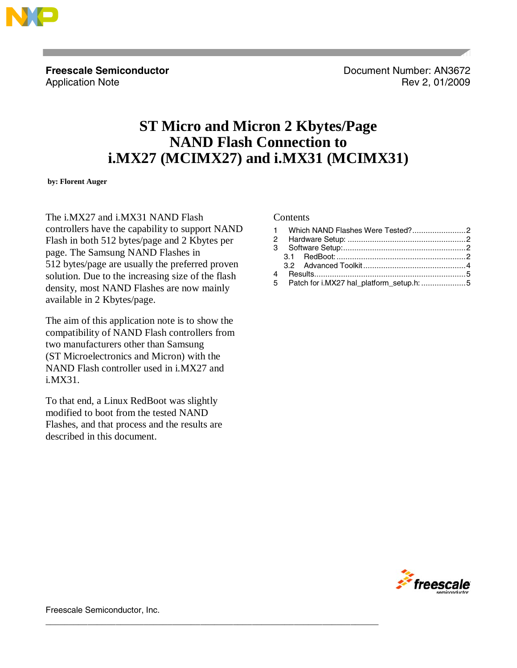

**Freescale Semiconductor Contract Contract Contract Contract Contract Contract Document Number: AN3672** Application Note **Review Application Note Rev** 2, 01/2009

# **ST Micro and Micron 2 Kbytes/Page NAND Flash Connection to i.MX27 (MCIMX27) and i.MX31 (MCIMX31)**

 **by: Florent Auger**

The i.MX27 and i.MX31 NAND Flash controllers have the capability to support NAND Flash in both 512 bytes/page and 2 Kbytes per page. The Samsung NAND Flashes in 512 bytes/page are usually the preferred proven solution. Due to the increasing size of the flash density, most NAND Flashes are now mainly available in 2 Kbytes/page.

The aim of this application note is to show the compatibility of NAND Flash controllers from two manufacturers other than Samsung (ST Microelectronics and Micron) with the NAND Flash controller used in i.MX27 and i.MX31.

To that end, a Linux RedBoot was slightly modified to boot from the tested NAND Flashes, and that process and the results are described in this document.

### **Contents**

|  |  | 5 Patch for i.MX27 hal_platform_setup.h: 5 |
|--|--|--------------------------------------------|



Freescale Semiconductor, Inc.

\_\_\_\_\_\_\_\_\_\_\_\_\_\_\_\_\_\_\_\_\_\_\_\_\_\_\_\_\_\_\_\_\_\_\_\_\_\_\_\_\_\_\_\_\_\_\_\_\_\_\_\_\_\_\_\_\_\_\_\_\_\_\_\_\_\_\_\_\_\_\_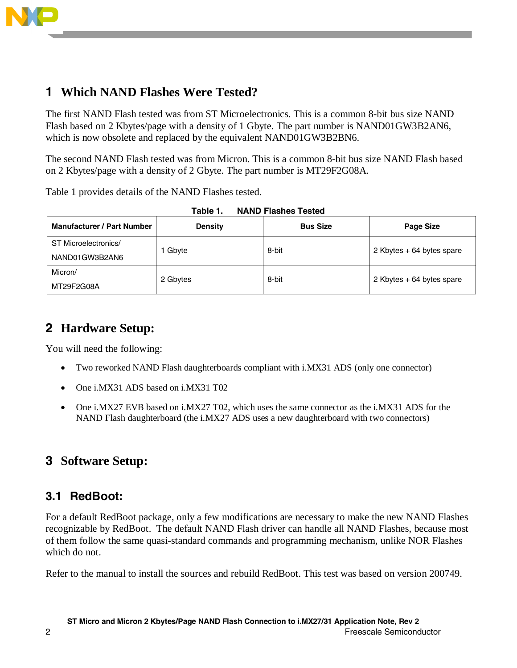<span id="page-1-0"></span>

# **1 Which NAND Flashes Were Tested?**

The first NAND Flash tested was from ST Microelectronics. This is a common 8-bit bus size NAND Flash based on 2 Kbytes/page with a density of 1 Gbyte. The part number is NAND01GW3B2AN6, which is now obsolete and replaced by the equivalent NAND01GW3B2BN6.

The second NAND Flash tested was from Micron. This is a common 8-bit bus size NAND Flash based on 2 Kbytes/page with a density of 2 Gbyte. The part number is MT29F2G08A.

Table 1 provides details of the NAND Flashes tested.

| .                                 |                |                 |                           |  |  |  |
|-----------------------------------|----------------|-----------------|---------------------------|--|--|--|
| <b>Manufacturer / Part Number</b> | <b>Density</b> | <b>Bus Size</b> | Page Size                 |  |  |  |
| ST Microelectronics/              | 1 Gbyte        | 8-bit           | 2 Kbytes + 64 bytes spare |  |  |  |
| NAND01GW3B2AN6                    |                |                 |                           |  |  |  |
| Micron/                           | 2 Gbytes       | 8-bit           | 2 Kbytes + 64 bytes spare |  |  |  |
| MT29F2G08A                        |                |                 |                           |  |  |  |

| Table 1. | <b>NAND Flashes Tested</b> |  |
|----------|----------------------------|--|
|          |                            |  |

# **2 Hardware Setup:**

You will need the following:

- Two reworked NAND Flash daughterboards compliant with i.MX31 ADS (only one connector)
- One i.MX31 ADS based on i.MX31 T02
- One i.MX27 EVB based on i.MX27 T02, which uses the same connector as the i.MX31 ADS for the NAND Flash daughterboard (the i.MX27 ADS uses a new daughterboard with two connectors)

# **3 Software Setup:**

## **3.1 RedBoot:**

For a default RedBoot package, only a few modifications are necessary to make the new NAND Flashes recognizable by RedBoot. The default NAND Flash driver can handle all NAND Flashes, because most of them follow the same quasi-standard commands and programming mechanism, unlike NOR Flashes which do not.

Refer to the manual to install the sources and rebuild RedBoot. This test was based on version 200749.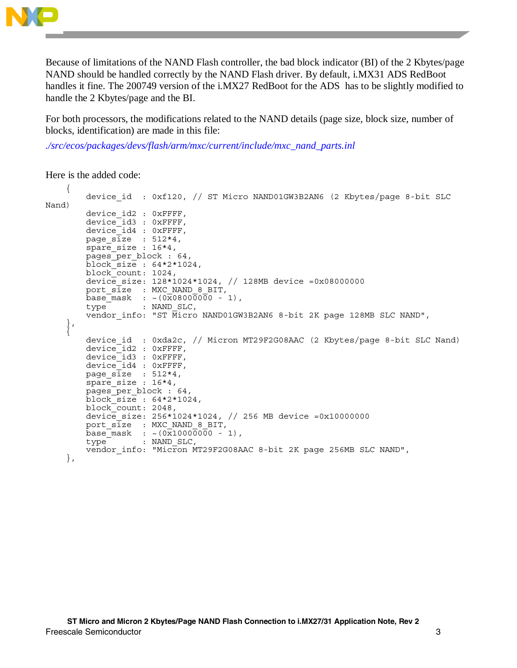

Because of limitations of the NAND Flash controller, the bad block indicator (BI) of the 2 Kbytes/page NAND should be handled correctly by the NAND Flash driver. By default, i.MX31 ADS RedBoot handles it fine. The 200749 version of the i.MX27 RedBoot for the ADS has to be slightly modified to handle the 2 Kbytes/page and the BI.

For both processors, the modifications related to the NAND details (page size, block size, number of blocks, identification) are made in this file:

*./src/ecos/packages/devs/flash/arm/mxc/current/include/mxc\_nand\_parts.inl*

Here is the added code:

```
 { 
         device_id : 0xf120, // ST Micro NAND01GW3B2AN6 (2 Kbytes/page 8-bit SLC 
Nand) 
 device_id2 : 0xFFFF, 
device id3 : 0xFFFF,
device id4 : 0xFFFF,
        page \overline{\text{size}} : 512*4,
        spare size : 16*4,
         pages_per_block : 64, 
         block_size : 64*2*1024, 
         block_count: 1024, 
         device_size: 128*1024*1024, // 128MB device =0x08000000 
port s\bar{1}ze : MXC NAND 8 BIT,
base mask : ~ (0x08000000 - 1),
        type : NAND SLC,
        vendor info: "ST Micro NAND01GW3B2AN6 8-bit 2K page 128MB SLC NAND",
 }, 
\left\{\begin{array}{c} \end{array}\right\}device id : 0xda2c, // Micron MT29F2G08AAC (2 Kbytes/page 8-bit SLC Nand)
         device_id2 : 0xFFFF, 
        device_id3 : 0xFFFF, device_id4 : 0xFFFF, 
page s\overline{1}ze : 512*4,
spare size : 16*4,
        pages per block : 64,
        \overline{b}lock\overline{-s}ize : 64*2*1024,
         block_count: 2048, 
        device size: 256*1024*1024, // 256 MB device =0x10000000
        port size : MXC NAND 8 BIT,
        base\_mask : \sim (0x10000000 - 1),
        type<sup>-</sup> : NAND SLC,
        vendor info: "Micron MT29F2G08AAC 8-bit 2K page 256MB SLC NAND",
     },
```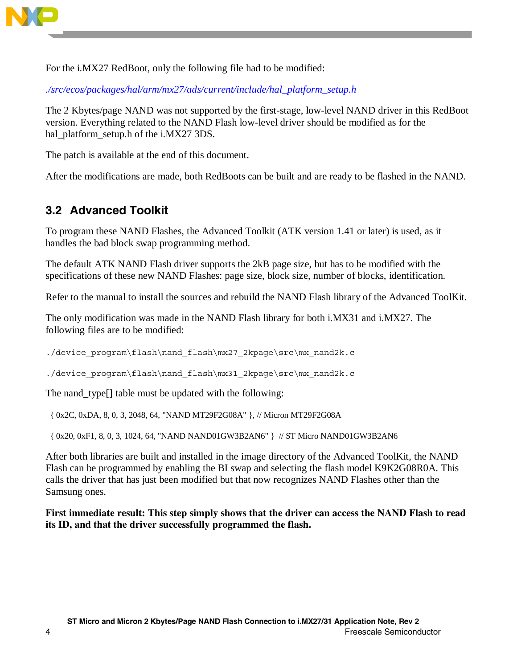<span id="page-3-0"></span>

For the i.MX27 RedBoot, only the following file had to be modified:

*./src/ecos/packages/hal/arm/mx27/ads/current/include/hal\_platform\_setup.h* 

The 2 Kbytes/page NAND was not supported by the first-stage, low-level NAND driver in this RedBoot version. Everything related to the NAND Flash low-level driver should be modified as for the hal\_platform\_setup.h of the i.MX27 3DS.

The patch is available at the end of this document.

After the modifications are made, both RedBoots can be built and are ready to be flashed in the NAND.

# **3.2 Advanced Toolkit**

To program these NAND Flashes, the Advanced Toolkit (ATK version 1.41 or later) is used, as it handles the bad block swap programming method.

The default ATK NAND Flash driver supports the 2kB page size, but has to be modified with the specifications of these new NAND Flashes: page size, block size, number of blocks, identification.

Refer to the manual to install the sources and rebuild the NAND Flash library of the Advanced ToolKit.

The only modification was made in the NAND Flash library for both i.MX31 and i.MX27. The following files are to be modified:

./device program\flash\nand flash\mx27 2kpage\src\mx nand2k.c

./device\_program\flash\nand\_flash\mx31\_2kpage\src\mx\_nand2k.c

The nand\_type[] table must be updated with the following:

{ 0x2C, 0xDA, 8, 0, 3, 2048, 64, "NAND MT29F2G08A" }, // Micron MT29F2G08A

{ 0x20, 0xF1, 8, 0, 3, 1024, 64, "NAND NAND01GW3B2AN6" } // ST Micro NAND01GW3B2AN6

After both libraries are built and installed in the image directory of the Advanced ToolKit, the NAND Flash can be programmed by enabling the BI swap and selecting the flash model K9K2G08R0A. This calls the driver that has just been modified but that now recognizes NAND Flashes other than the Samsung ones.

**First immediate result: This step simply shows that the driver can access the NAND Flash to read its ID, and that the driver successfully programmed the flash.**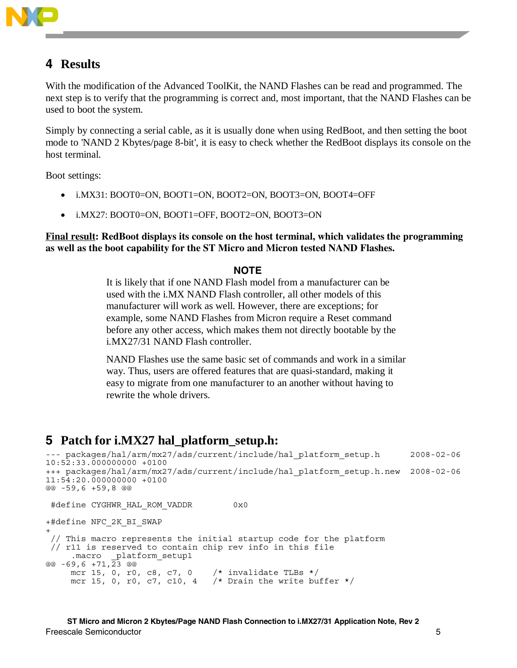<span id="page-4-0"></span>

# **4 Results**

With the modification of the Advanced ToolKit, the NAND Flashes can be read and programmed. The next step is to verify that the programming is correct and, most important, that the NAND Flashes can be used to boot the system.

Simply by connecting a serial cable, as it is usually done when using RedBoot, and then setting the boot mode to 'NAND 2 Kbytes/page 8-bit', it is easy to check whether the RedBoot displays its console on the host terminal.

Boot settings:

- i.MX31: BOOT0=ON, BOOT1=ON, BOOT2=ON, BOOT3=ON, BOOT4=OFF
- i.MX27: BOOT0=ON, BOOT1=OFF, BOOT2=ON, BOOT3=ON

**Final result: RedBoot displays its console on the host terminal, which validates the programming as well as the boot capability for the ST Micro and Micron tested NAND Flashes.** 

### **NOTE**

It is likely that if one NAND Flash model from a manufacturer can be used with the i.MX NAND Flash controller, all other models of this manufacturer will work as well. However, there are exceptions; for example, some NAND Flashes from Micron require a Reset command before any other access, which makes them not directly bootable by the i.MX27/31 NAND Flash controller.

NAND Flashes use the same basic set of commands and work in a similar way. Thus, users are offered features that are quasi-standard, making it easy to migrate from one manufacturer to an another without having to rewrite the whole drivers.

## **5 Patch for i.MX27 hal\_platform\_setup.h:**

```
--- packages/hal/arm/mx27/ads/current/include/hal platform setup.h 2008-02-06
10:52:33.000000000 +0100 
+++ packages/hal/arm/mx27/ads/current/include/hal_platform_setup.h.new 2008-02-06 
11:54:20.000000000 +0100 
@@ -59,6 +59,8 @@ 
 #define CYGHWR HAL ROM VADDR 0x0
+#define NFC_2K_BI_SWAP 
+ 
  // This macro represents the initial startup code for the platform 
  // r11 is reserved to contain chip rev info in this file 
 .macro _platform_setup1 
@@ -69,6 +71,\overline{23} @@
     mcr 15, 0, r0, c8, c7, 0 /* invalidate TLBs */ 
    mcr 15, 0, r0, c7, c10, 4 * Drain the write buffer */
```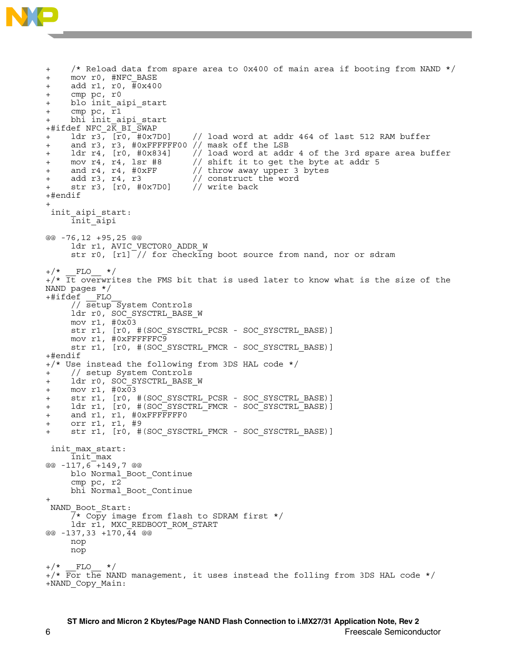

+ /\* Reload data from spare area to 0x400 of main area if booting from NAND \*/ + mov r0, #NFC\_BASE + add r1, r0,  $\frac{1}{4}0x400$ + cmp pc, r0 + blo init\_aipi\_start + cmp pc, r1 + bhi init\_aipi\_start  $+$ #ifdef NFC  $2\overline{K}$  BI  $\overline{SWAP}$ +  $\frac{1}{x}$  ldr r3,  $\frac{1}{x}$  ( $\frac{1}{x}$ 0x7D0) // load word at addr 464 of last 512 RAM buffer + and r3, r3, #0xFFFFFF00 // mask off the LSB + ldr r4, [r0, #0x834] // load word at addr 4 of the 3rd spare area buffer + mov r4, r4, lsr #8 // shift it to get the byte at addr 5<br>+ and r4, r4, #0xFF // throw away upper 3 bytes + and r4, r4, #0xFF // throw away upper 3 bytes + add r3, r4, r3 // construct the word<br>+ str r3, [r0, #0x7D0] // write back + str r3, [r0, #0x7D0] +#endif + init aipi start: init\_aipi @@ -76,12 +95,25 @@ ldr r1, AVIC VECTOR0 ADDR W str r0,  $\left[\frac{r1}{7}\right]$  for checking boot source from nand, nor or sdram  $FLO$  \*/  $_{+}/*$  It overwrites the FMS bit that is used later to know what is the size of the NAND pages \*/ +#ifdef \_\_FLO\_\_ // setup System Controls ldr r0, SOC\_SYSCTRL\_BASE\_W mov r1,  $\#0x\overline{0}3$  str r1, [r0, #(SOC\_SYSCTRL\_PCSR - SOC\_SYSCTRL\_BASE)] mov r1, #0xFFFFFFC9 str r1, [r0, #(SOC SYSCTRL FMCR - SOC SYSCTRL BASE)] +#endif +/\* Use instead the following from 3DS HAL code \*/ + // setup System Controls + ldr r0, SOC SYSCTRL BASE W +  $mov r1, #0x03$ str r1, [r0, #(SOC\_SYSCTRL\_PCSR - SOC\_SYSCTRL\_BASE)] + ldr r1, [r0, #(SOC<sup>-</sup>SYSCTRL<sup>-</sup>FMCR - SOC<sup>-</sup>SYSCTRL<sup>-</sup>BASE)] + and r1, r1, #0xFFFFFFF0 + orr r1, r1, #9 str r1, [r0, #(SOC SYSCTRL FMCR - SOC SYSCTRL BASE)] init max start: init\_max @@ -117,6 +149,7 @@ blo Normal\_Boot\_Continue cmp pc, r2 bhi Normal\_Boot\_Continue + NAND Boot Start:  $\overline{7}$ \* Copy image from flash to SDRAM first \*/ ldr r1, MXC\_REDBOOT\_ROM\_START @@ -137,33 +170,44 @@ nop nop  $+/*$  FLO \*/  $+/*$  For the NAND management, it uses instead the folling from 3DS HAL code  $*/$ +NAND\_Copy\_Main: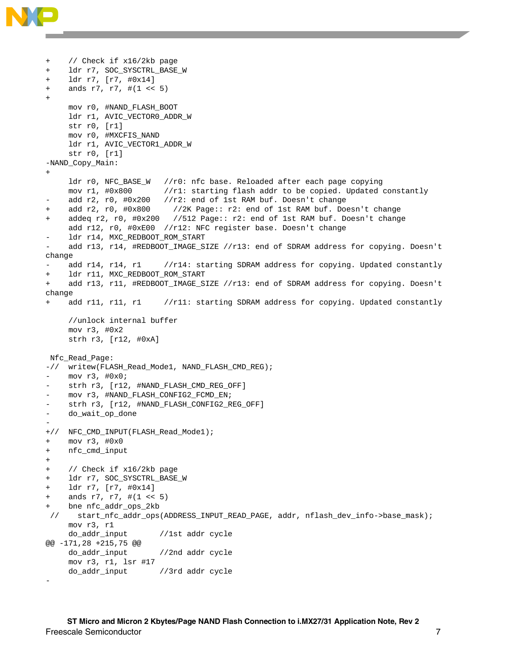

```
+ // Check if x16/2kb page 
+ ldr r7, SOC_SYSCTRL_BASE_W 
+ ldr r7, [r7, #0x14] 
+ ands r7, r7, #(1 < 5)+ 
     mov r0, #NAND_FLASH_BOOT 
     ldr r1, AVIC_VECTOR0_ADDR_W 
     str r0, [r1] 
     mov r0, #MXCFIS_NAND 
      ldr r1, AVIC_VECTOR1_ADDR_W 
      str r0, [r1] 
-NAND_Copy_Main: 
+ 
      ldr r0, NFC_BASE_W //r0: nfc base. Reloaded after each page copying 
     mov r1, #0x800 //r1: starting flash addr to be copied. Updated constantly 
    add r2, r0, #0x200 //r2: end of 1st RAM buf. Doesn't change
+ add r2, r0, #0x800 //2K Page:: r2: end of 1st RAM buf. Doesn't change 
+ addeq r2, r0, #0x200 //512 Page:: r2: end of 1st RAM buf. Doesn't change 
      add r12, r0, #0xE00 //r12: NFC register base. Doesn't change 
     ldr r14, MXC_REDBOOT_ROM_START
     - add r13, r14, #REDBOOT_IMAGE_SIZE //r13: end of SDRAM address for copying. Doesn't 
change 
    add r14, r14, r1 //r14: starting SDRAM address for copying. Updated constantly
+ ldr r11, MXC_REDBOOT_ROM_START 
+ add r13, r11, #REDBOOT_IMAGE_SIZE //r13: end of SDRAM address for copying. Doesn't 
change 
+ add r11, r11, r1 //r11: starting SDRAM address for copying. Updated constantly 
      //unlock internal buffer 
     mov r3, #0x2 
      strh r3, [r12, #0xA] 
 Nfc_Read_Page: 
-// writew(FLASH_Read_Mode1, NAND_FLASH_CMD_REG); 
    - mov r3, #0x0; 
    strh r3, [r12, #NAND_FLASH_CMD_REG_OFF]
    - mov r3, #NAND_FLASH_CONFIG2_FCMD_EN; 
    strh r3, [r12, #NAND_FLASH_CONFIG2_REG_OFF]
    do_wait_op_done
- 
+// NFC_CMD_INPUT(FLASH_Read_Mode1); 
+ mov r3, #0x0 
+ nfc_cmd_input 
+ 
+ // Check if x16/2kb page 
+ ldr r7, SOC_SYSCTRL_BASE_W 
+ ldr r7, [r7, #0x14] 
    ands r7, r7, #(1 << 5)
    bne nfc_addr_ops_2kb
  // start_nfc_addr_ops(ADDRESS_INPUT_READ_PAGE, addr, nflash_dev_info->base_mask); 
     mov r3, r1 
     do_addr_input //1st addr cycle 
@@ -171,28 +215,75 @@ 
     do_addr_input //2nd addr cycle 
     mov r3, r1, lsr #17 
     do_addr_input //3rd addr cycle 
-
```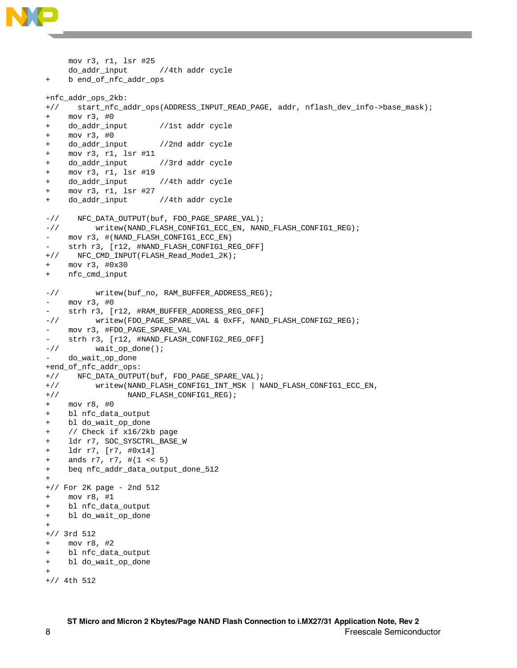

- + do\_addr\_input //3rd addr cycle
- + mov r3, r1, lsr #19
- + do\_addr\_input //4th addr cycle + mov r3, r1, lsr #27
- + do\_addr\_input //4th addr cycle

```
-// NFC_DATA_OUTPUT(buf, FDO_PAGE_SPARE_VAL); 
-// writew(NAND_FLASH_CONFIG1_ECC_EN, NAND_FLASH_CONFIG1_REG); 
- mov r3, #(NAND_FLASH_CONFIG1_ECC_EN)
    - strh r3, [r12, #NAND_FLASH_CONFIG1_REG_OFF] 
+// NFC_CMD_INPUT(FLASH_Read_Mode1_2K); 
+ mov r3, #0x30 
+ nfc_cmd_input 
-// writew(buf_no, RAM_BUFFER_ADDRESS_REG);
    - mov r3, #0 
    strh r3, [r12, #RAM_BUFFER_ADDRESS_REG_OFF]
-// writew(FDO_PAGE_SPARE_VAL & 0xFF, NAND_FLASH_CONFIG2_REG); 
- mov r3, #FDO_PAGE_SPARE_VAL 
    strh r3, [r12, #NAND_FLASH_CONFIG2_REG_OFF]
-// wait_op_done();
    do_wait_op_done
+end_of_nfc_addr_ops: 
+// NFC_DATA_OUTPUT(buf, FDO_PAGE_SPARE_VAL); 
+// writew(NAND_FLASH_CONFIG1_INT_MSK | NAND_FLASH_CONFIG1_ECC_EN, 
+// NAND_FLASH_CONFIG1_REG); 
+ mov r8, #0 
+ bl nfc_data_output 
+ bl do_wait_op_done 
+ // Check if x16/2kb page 
+ ldr r7, SOC_SYSCTRL_BASE_W 
+ ldr r7, [r7, #0x14] 
+ ands r7, r7, #(1 << 5) 
+ beq nfc_addr_data_output_done_512 
+ 
+// For 2K page - 2nd 512 
+ mov r8, #1 
+ bl nfc_data_output 
+ bl do_wait_op_done 
+ 
+// 3rd 512 
+ mov r8, #2 
+ bl nfc_data_output 
+ bl do_wait_op_done 
+ 
+// 4th 512
```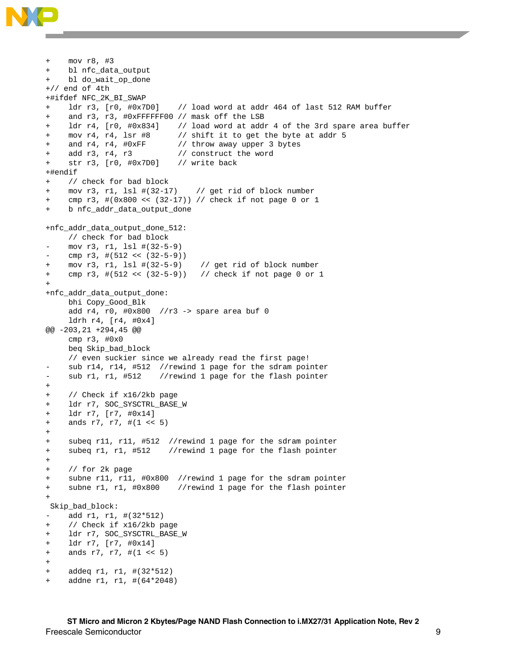

```
+ mov r8, #3 
+ bl nfc_data_output 
    bl do_wait_op_done
+// end of 4th 
+#ifdef NFC_2K_BI_SWAP 
+ ldr r3, [r0, #0x7D0] // load word at addr 464 of last 512 RAM buffer 
+ and r3, r3, #0xFFFFFF00 // mask off the LSB 
+ ldr r4, [r0, #0x834] // load word at addr 4 of the 3rd spare area buffer 
    mov r4, r4, lsr #8 \qquad // shift it to get the byte at addr 5
    and r4, r4, \#0xFF // throw away upper 3 bytes
    add r3, r4, r3 \frac{1}{2} construct the word
+ str r3, [r0, #0x7D0] // write back 
+#endif 
+ // check for bad block 
+ mov r3, r1, lsl #(32-17) // get rid of block number 
+ cmp r3, #(0x800 << (32-17)) // check if not page 0 or 1 
+ b nfc_addr_data_output_done 
+nfc_addr_data_output_done_512: 
     // check for bad block 
    - mov r3, r1, lsl #(32-5-9) 
    cmp r3, #(512 << (32-5-9))
+ mov r3, r1, lsl #(32-5-9) // get rid of block number 
+ cmp r3, #(512 << (32-5-9)) // check if not page 0 or 1 
+ 
+nfc_addr_data_output_done: 
     bhi Copy_Good_Blk 
     add r4, r0, #0x800 //r3 -> spare area buf 0 
     ldrh r4, [r4, #0x4] 
@@ -203,21 +294,45 @@ 
     cmp r3, #0x0 
     beq Skip_bad_block 
     // even suckier since we already read the first page! 
    sub r14, r14, #512 //rewind 1 page for the sdram pointer
    sub r1, r1, #512 //rewind 1 page for the flash pointer
+ 
+ // Check if x16/2kb page 
+ ldr r7, SOC_SYSCTRL_BASE_W 
+ ldr r7, [r7, #0x14] 
+ ands r7, r7, #(1 << 5) 
+ 
+ subeq r11, r11, #512 //rewind 1 page for the sdram pointer 
+ subeq r1, r1, #512 //rewind 1 page for the flash pointer 
+ 
+ // for 2k page 
+ subne r11, r11, #0x800 //rewind 1 page for the sdram pointer 
+ subne r1, r1, #0x800 //rewind 1 page for the flash pointer 
+ 
 Skip_bad_block: 
- add r1, r1, #(32*512)
+ // Check if x16/2kb page 
+ ldr r7, SOC_SYSCTRL_BASE_W 
+ ldr r7, [r7, #0x14] 
+ ands r7, r7, #(1 < 5)+ 
+ addeq r1, r1, #(32*512) 
    addne r1, r1, #(64*2048)
```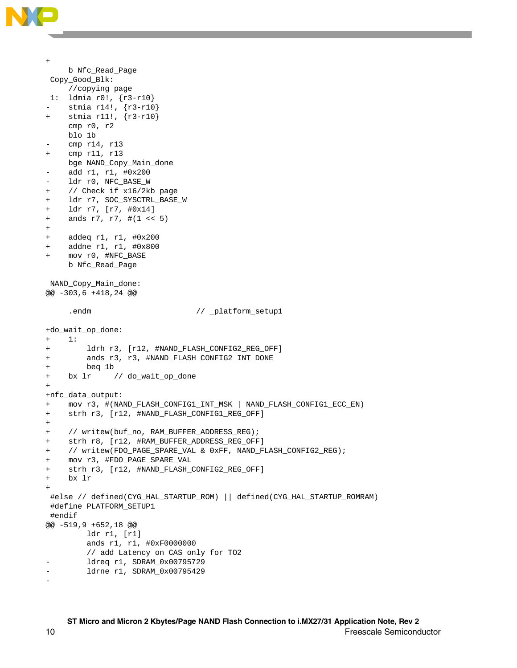

```
+ 
     b Nfc_Read_Page 
 Copy_Good_Blk: 
     //copying page 
 1: ldmia r0!, {r3-r10} 
    stmia r14!, {r3-r10}
+ stmia r11!, {r3-r10} 
     cmp r0, r2 
     blo 1b 
    cmp r14, r13
+ cmp r11, r13 
     bge NAND_Copy_Main_done 
    - add r1, r1, #0x200 
    ldr r0, NFC_BASE_W
+ // Check if x16/2kb page 
+ ldr r7, SOC_SYSCTRL_BASE_W 
+ ldr r7, [r7, #0x14] 
+ ands r7, r7, #(1 << 5) 
+ 
+ addeq r1, r1, #0x200 
+ addne r1, r1, #0x800 
+ mov r0, #NFC_BASE 
     b Nfc_Read_Page 
 NAND_Copy_Main_done: 
@@ -303,6 +418,24 @@ 
     .endm \frac{1}{\sqrt{2}} _platform_setup1
+do_wait_op_done: 
+ 1: 
+ ldrh r3, [r12, #NAND_FLASH_CONFIG2_REG_OFF] 
+ ands r3, r3, #NAND_FLASH_CONFIG2_INT_DONE 
+ beq 1b 
+ bx lr // do_wait_op_done 
+ 
+nfc_data_output: 
+ mov r3, #(NAND_FLASH_CONFIG1_INT_MSK | NAND_FLASH_CONFIG1_ECC_EN) 
+ strh r3, [r12, #NAND_FLASH_CONFIG1_REG_OFF] 
+ 
+ // writew(buf_no, RAM_BUFFER_ADDRESS_REG); 
+ strh r8, [r12, #RAM_BUFFER_ADDRESS_REG_OFF] 
+ // writew(FDO_PAGE_SPARE_VAL & 0xFF, NAND_FLASH_CONFIG2_REG); 
+ mov r3, #FDO_PAGE_SPARE_VAL 
    strh r3, [r12, #NAND_FLASH_CONFIG2_REG_OFF]
    + bx lr 
+ 
  #else // defined(CYG_HAL_STARTUP_ROM) || defined(CYG_HAL_STARTUP_ROMRAM) 
 #define PLATFORM_SETUP1 
  #endif 
@@ -519,9 +652,18 @@ 
          ldr r1, [r1] 
         ands r1, r1, #0xF0000000 
          // add Latency on CAS only for TO2 
        ldreq r1, SDRAM_0x00795729
        ldrne r1, SDRAM_0x00795429
-
```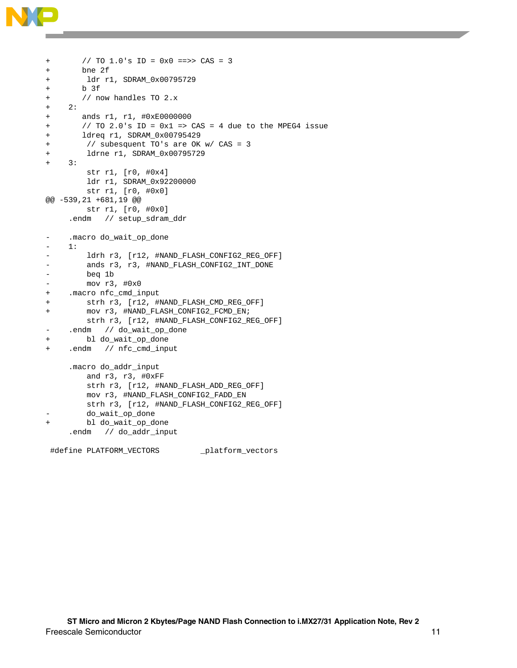

```
+ // TO 1.0's ID = 0x0 ==>> CAS = 3 
+ bne 2f 
+ ldr r1, SDRAM_0x00795729 
+ b 3f 
+ // now handles TO 2.x 
+ 2: 
+ ands r1, r1, #0xE0000000 
+ // TO 2.0's ID = 0x1 => CAS = 4 due to the MPEG4 issue 
+ ldreq r1, SDRAM_0x00795429 
+ // subesquent TO's are OK w/ CAS = 3 
+ ldrne r1, SDRAM_0x00795729 
+ 3: 
         str r1, [r0, #0x4] 
         ldr r1, SDRAM_0x92200000 
         str r1, [r0, #0x0] 
@@ -539,21 +681,19 @@ 
         str r1, [r0, #0x0] 
     .endm // setup_sdram_ddr 
- .macro do_wait_op_done 
    1:- ldrh r3, [r12, #NAND_FLASH_CONFIG2_REG_OFF]
        ands r3, r3, #NAND_FLASH_CONFIG2_INT_DONE
- beq 1b 
- mov r3, #0x0 
+ .macro nfc_cmd_input 
+ strh r3, [r12, #NAND_FLASH_CMD_REG_OFF] 
+ mov r3, #NAND_FLASH_CONFIG2_FCMD_EN; 
         strh r3, [r12, #NAND_FLASH_CONFIG2_REG_OFF] 
- .endm // do_wait_op_done
+ bl do_wait_op_done 
+ .endm // nfc_cmd_input 
     .macro do_addr_input 
         and r3, r3, #0xFF 
         strh r3, [r12, #NAND_FLASH_ADD_REG_OFF] 
         mov r3, #NAND_FLASH_CONFIG2_FADD_EN 
         strh r3, [r12, #NAND_FLASH_CONFIG2_REG_OFF] 
        do_wait_op_done
        bl do_wait_op_done
     .endm // do_addr_input
```
#define PLATFORM\_VECTORS \_platform\_vectors